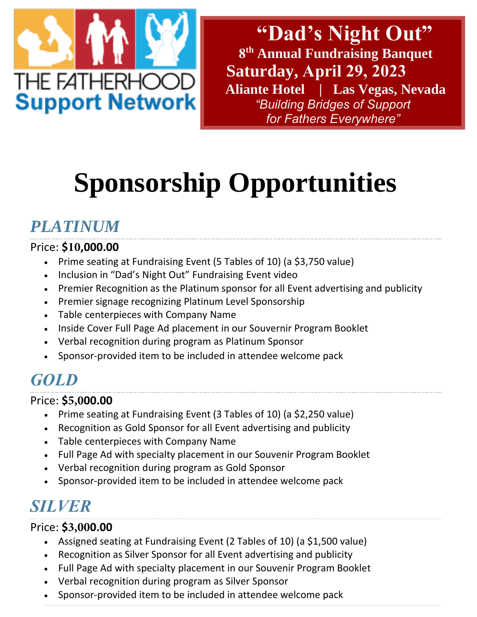

**"Dad's Night Out" 8 th Annual Fundraising Banquet Saturday, April 29, 2023 Aliante Hotel | Las Vegas, Nevada** *"Building Bridges of Support for Fathers Everywhere"* 

# **Sponsorship Opportunities**

# *PLATINUM*

### Price: **\$10,000.00**

- Prime seating at Fundraising Event (5 Tables of 10) (a \$3,750 value)
- Inclusion in "Dad's Night Out" Fundraising Event video
- Premier Recognition as the Platinum sponsor for all Event advertising and publicity
- Premier signage recognizing Platinum Level Sponsorship
- Table centerpieces with Company Name
- Inside Cover Full Page Ad placement in our Souvernir Program Booklet
- Verbal recognition during program as Platinum Sponsor
- Sponsor-provided item to be included in attendee welcome pack

### *GOLD*

### Price: **\$5,000.00**

- Prime seating at Fundraising Event (3 Tables of 10) (a \$2,250 value)
- Recognition as Gold Sponsor for all Event advertising and publicity
- Table centerpieces with Company Name
- Full Page Ad with specialty placement in our Souvenir Program Booklet
- Verbal recognition during program as Gold Sponsor
- Sponsor-provided item to be included in attendee welcome pack

## *SILVER*

### Price: **\$3,000.00**

- Assigned seating at Fundraising Event (2 Tables of 10) (a \$1,500 value)
- Recognition as Silver Sponsor for all Event advertising and publicity
- Full Page Ad with specialty placement in our Souvenir Program Booklet
- Verbal recognition during program as Silver Sponsor
- Sponsor-provided item to be included in attendee welcome pack